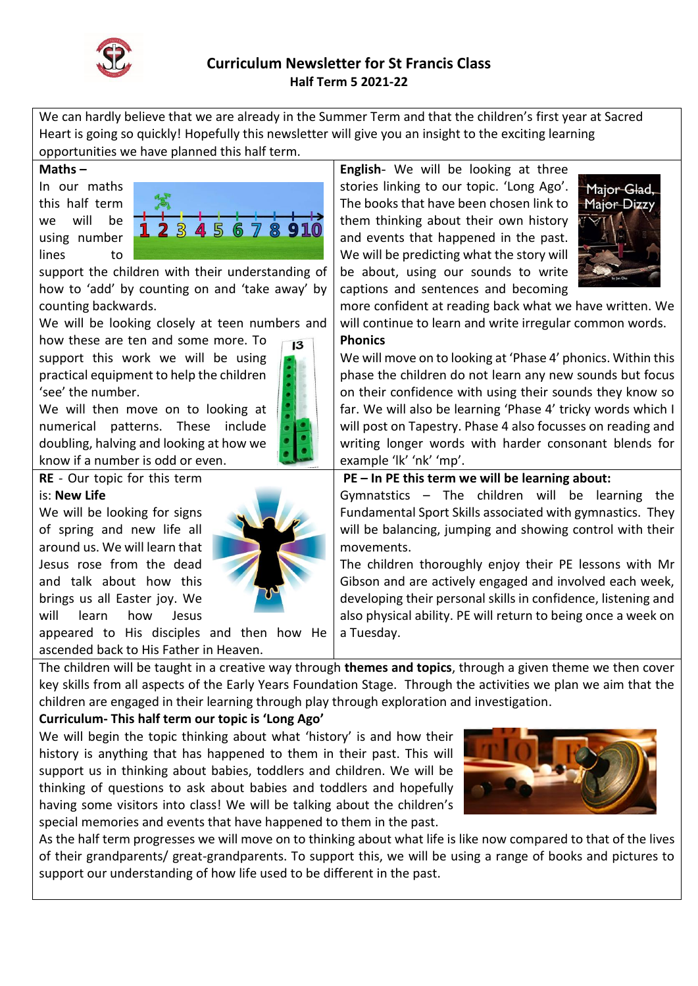

# **Curriculum Newsletter for St Francis Class Half Term 5 2021-22**

We can hardly believe that we are already in the Summer Term and that the children's first year at Sacred Heart is going so quickly! Hopefully this newsletter will give you an insight to the exciting learning opportunities we have planned this half term.

#### **Maths –**

In our maths this half term we will be using number lines to



support the children with their understanding of how to 'add' by counting on and 'take away' by counting backwards.

We will be looking closely at teen numbers and

how these are ten and some more. To support this work we will be using practical equipment to help the children 'see' the number.

We will then move on to looking at numerical patterns. These include doubling, halving and looking at how we know if a number is odd or even.



 $13$ 

**RE** - Our topic for this term

### is: **New Life**

We will be looking for signs of spring and new life all around us. We will learn that Jesus rose from the dead and talk about how this brings us all Easter joy. We will learn how Jesus

appeared to His disciples and then how He ascended back to His Father in Heaven.

The children will be taught in a creative way through **themes and topics**, through a given theme we then cover key skills from all aspects of the Early Years Foundation Stage. Through the activities we plan we aim that the children are engaged in their learning through play through exploration and investigation.

# **Curriculum- This half term our topic is 'Long Ago'**

We will begin the topic thinking about what 'history' is and how their history is anything that has happened to them in their past. This will support us in thinking about babies, toddlers and children. We will be thinking of questions to ask about babies and toddlers and hopefully having some visitors into class! We will be talking about the children's special memories and events that have happened to them in the past.



As the half term progresses we will move on to thinking about what life is like now compared to that of the lives of their grandparents/ great-grandparents. To support this, we will be using a range of books and pictures to support our understanding of how life used to be different in the past.

**English**- We will be looking at three stories linking to our topic. 'Long Ago'. The books that have been chosen link to them thinking about their own history and events that happened in the past. We will be predicting what the story will be about, using our sounds to write captions and sentences and becoming



more confident at reading back what we have written. We will continue to learn and write irregular common words.

## **Phonics**

We will move on to looking at 'Phase 4' phonics. Within this phase the children do not learn any new sounds but focus on their confidence with using their sounds they know so far. We will also be learning 'Phase 4' tricky words which I will post on Tapestry. Phase 4 also focusses on reading and writing longer words with harder consonant blends for example 'lk' 'nk' 'mp'.

### **PE – In PE this term we will be learning about:**

Gymnatstics – The children will be learning the Fundamental Sport Skills associated with gymnastics. They will be balancing, jumping and showing control with their movements.

The children thoroughly enjoy their PE lessons with Mr Gibson and are actively engaged and involved each week, developing their personal skills in confidence, listening and also physical ability. PE will return to being once a week on a Tuesday.